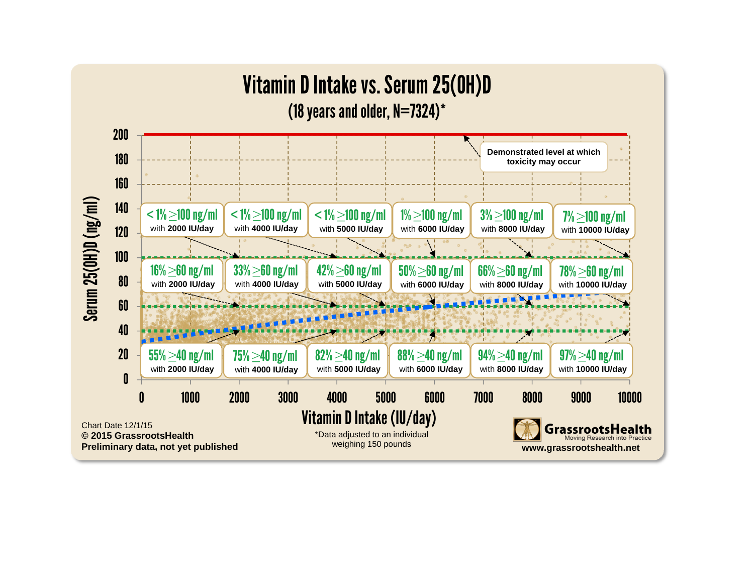## Vitamin D Intake vs. Serum 25(OH)D (18 years and older,  $N=7324$ )\*